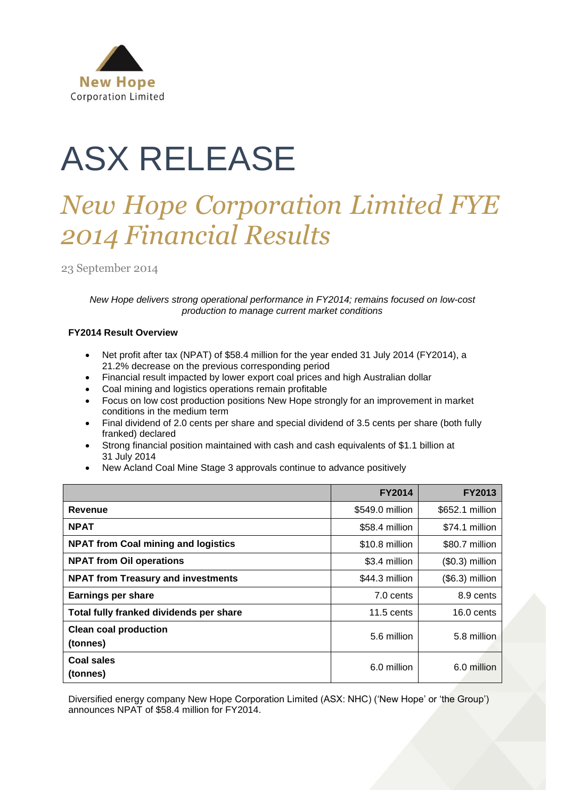

# ASX RELEASE

# *New Hope Corporation Limited FYE 2014 Financial Results*

23 September 2014

*New Hope delivers strong operational performance in FY2014; remains focused on low-cost production to manage current market conditions*

# **FY2014 Result Overview**

- Net profit after tax (NPAT) of \$58.4 million for the year ended 31 July 2014 (FY2014), a 21.2% decrease on the previous corresponding period
- Financial result impacted by lower export coal prices and high Australian dollar
- Coal mining and logistics operations remain profitable
- Focus on low cost production positions New Hope strongly for an improvement in market conditions in the medium term
- Final dividend of 2.0 cents per share and special dividend of 3.5 cents per share (both fully franked) declared
- Strong financial position maintained with cash and cash equivalents of \$1.1 billion at 31 July 2014
- New Acland Coal Mine Stage 3 approvals continue to advance positively

|                                            | <b>FY2014</b>   | <b>FY2013</b>    |
|--------------------------------------------|-----------------|------------------|
| Revenue                                    | \$549.0 million | \$652.1 million  |
| <b>NPAT</b>                                | \$58.4 million  | \$74.1 million   |
| <b>NPAT from Coal mining and logistics</b> | \$10.8 million  | \$80.7 million   |
| <b>NPAT from Oil operations</b>            | \$3.4 million   | $($0.3)$ million |
| <b>NPAT from Treasury and investments</b>  | \$44.3 million  | (\$6.3) million  |
| <b>Earnings per share</b>                  | 7.0 cents       | 8.9 cents        |
| Total fully franked dividends per share    | $11.5$ cents    | $16.0$ cents     |
| <b>Clean coal production</b><br>(tonnes)   | 5.6 million     | 5.8 million      |
| Coal sales<br>(tonnes)                     | 6.0 million     | 6.0 million      |

Diversified energy company New Hope Corporation Limited (ASX: NHC) ('New Hope' or 'the Group') announces NPAT of \$58.4 million for FY2014.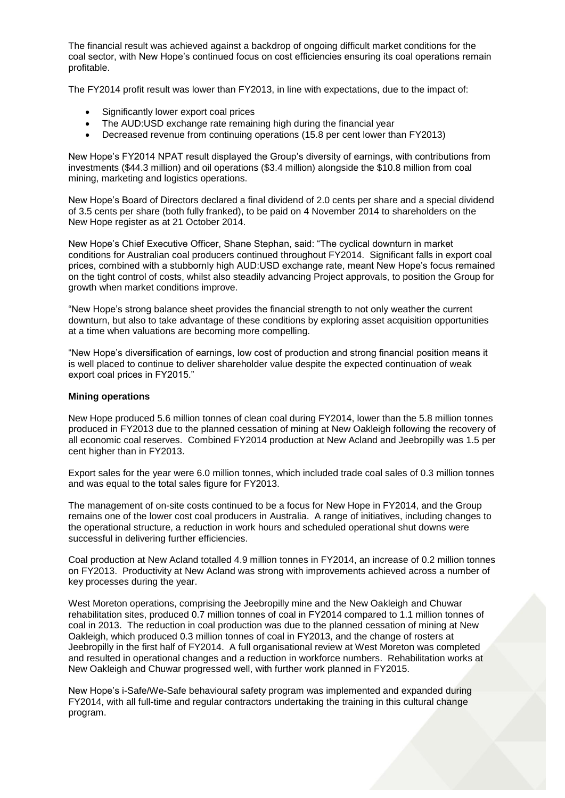The financial result was achieved against a backdrop of ongoing difficult market conditions for the coal sector, with New Hope's continued focus on cost efficiencies ensuring its coal operations remain profitable.

The FY2014 profit result was lower than FY2013, in line with expectations, due to the impact of:

- Significantly lower export coal prices
- The AUD:USD exchange rate remaining high during the financial year
- Decreased revenue from continuing operations (15.8 per cent lower than FY2013)

New Hope's FY2014 NPAT result displayed the Group's diversity of earnings, with contributions from investments (\$44.3 million) and oil operations (\$3.4 million) alongside the \$10.8 million from coal mining, marketing and logistics operations.

New Hope's Board of Directors declared a final dividend of 2.0 cents per share and a special dividend of 3.5 cents per share (both fully franked), to be paid on 4 November 2014 to shareholders on the New Hope register as at 21 October 2014.

New Hope's Chief Executive Officer, Shane Stephan, said: "The cyclical downturn in market conditions for Australian coal producers continued throughout FY2014. Significant falls in export coal prices, combined with a stubbornly high AUD:USD exchange rate, meant New Hope's focus remained on the tight control of costs, whilst also steadily advancing Project approvals, to position the Group for growth when market conditions improve.

"New Hope's strong balance sheet provides the financial strength to not only weather the current downturn, but also to take advantage of these conditions by exploring asset acquisition opportunities at a time when valuations are becoming more compelling.

"New Hope's diversification of earnings, low cost of production and strong financial position means it is well placed to continue to deliver shareholder value despite the expected continuation of weak export coal prices in FY2015."

#### **Mining operations**

New Hope produced 5.6 million tonnes of clean coal during FY2014, lower than the 5.8 million tonnes produced in FY2013 due to the planned cessation of mining at New Oakleigh following the recovery of all economic coal reserves. Combined FY2014 production at New Acland and Jeebropilly was 1.5 per cent higher than in FY2013.

Export sales for the year were 6.0 million tonnes, which included trade coal sales of 0.3 million tonnes and was equal to the total sales figure for FY2013.

The management of on-site costs continued to be a focus for New Hope in FY2014, and the Group remains one of the lower cost coal producers in Australia. A range of initiatives, including changes to the operational structure, a reduction in work hours and scheduled operational shut downs were successful in delivering further efficiencies.

Coal production at New Acland totalled 4.9 million tonnes in FY2014, an increase of 0.2 million tonnes on FY2013. Productivity at New Acland was strong with improvements achieved across a number of key processes during the year.

West Moreton operations, comprising the Jeebropilly mine and the New Oakleigh and Chuwar rehabilitation sites, produced 0.7 million tonnes of coal in FY2014 compared to 1.1 million tonnes of coal in 2013. The reduction in coal production was due to the planned cessation of mining at New Oakleigh, which produced 0.3 million tonnes of coal in FY2013, and the change of rosters at Jeebropilly in the first half of FY2014. A full organisational review at West Moreton was completed and resulted in operational changes and a reduction in workforce numbers. Rehabilitation works at New Oakleigh and Chuwar progressed well, with further work planned in FY2015.

New Hope's i-Safe/We-Safe behavioural safety program was implemented and expanded during FY2014, with all full-time and regular contractors undertaking the training in this cultural change program.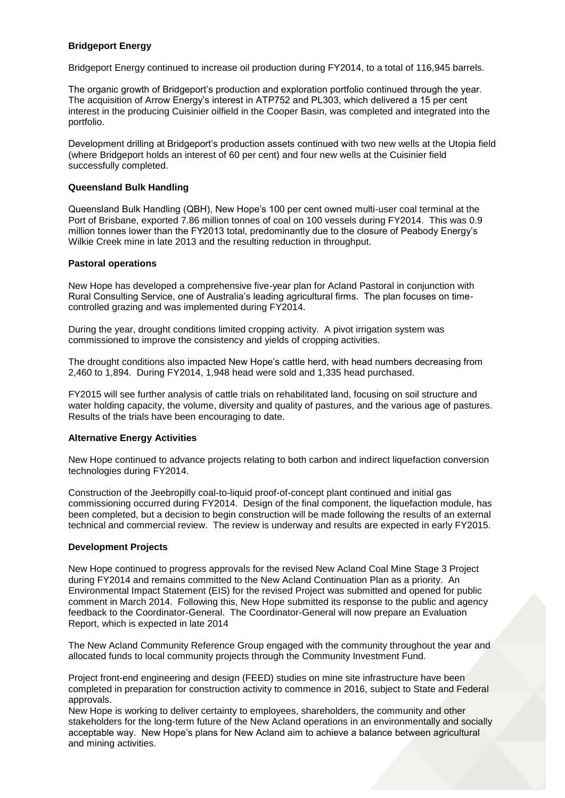# **Bridgeport Energy**

Bridgeport Energy continued to increase oil production during FY2014, to a total of 116,945 barrels.

The organic growth of Bridgeport's production and exploration portfolio continued through the year. The acquisition of Arrow Energy's interest in ATP752 and PL303, which delivered a 15 per cent interest in the producing Cuisinier oilfield in the Cooper Basin, was completed and integrated into the portfolio.

Development drilling at Bridgeport's production assets continued with two new wells at the Utopia field (where Bridgeport holds an interest of 60 per cent) and four new wells at the Cuisinier field successfully completed.

#### **Queensland Bulk Handling**

Queensland Bulk Handling (QBH), New Hope's 100 per cent owned multi-user coal terminal at the Port of Brisbane, exported 7.86 million tonnes of coal on 100 vessels during FY2014. This was 0.9 million tonnes lower than the FY2013 total, predominantly due to the closure of Peabody Energy's Wilkie Creek mine in late 2013 and the resulting reduction in throughput.

#### **Pastoral operations**

New Hope has developed a comprehensive five-year plan for Acland Pastoral in conjunction with Rural Consulting Service, one of Australia's leading agricultural firms. The plan focuses on timecontrolled grazing and was implemented during FY2014.

During the year, drought conditions limited cropping activity. A pivot irrigation system was commissioned to improve the consistency and yields of cropping activities.

The drought conditions also impacted New Hope's cattle herd, with head numbers decreasing from 2,460 to 1,894. During FY2014, 1,948 head were sold and 1,335 head purchased.

FY2015 will see further analysis of cattle trials on rehabilitated land, focusing on soil structure and water holding capacity, the volume, diversity and quality of pastures, and the various age of pastures. Results of the trials have been encouraging to date.

#### **Alternative Energy Activities**

New Hope continued to advance projects relating to both carbon and indirect liquefaction conversion technologies during FY2014.

Construction of the Jeebropilly coal-to-liquid proof-of-concept plant continued and initial gas commissioning occurred during FY2014. Design of the final component, the liquefaction module, has been completed, but a decision to begin construction will be made following the results of an external technical and commercial review. The review is underway and results are expected in early FY2015.

#### **Development Projects**

New Hope continued to progress approvals for the revised New Acland Coal Mine Stage 3 Project during FY2014 and remains committed to the New Acland Continuation Plan as a priority. An Environmental Impact Statement (EIS) for the revised Project was submitted and opened for public comment in March 2014. Following this, New Hope submitted its response to the public and agency feedback to the Coordinator-General. The Coordinator-General will now prepare an Evaluation Report, which is expected in late 2014

The New Acland Community Reference Group engaged with the community throughout the year and allocated funds to local community projects through the Community Investment Fund.

Project front-end engineering and design (FEED) studies on mine site infrastructure have been completed in preparation for construction activity to commence in 2016, subject to State and Federal approvals.

New Hope is working to deliver certainty to employees, shareholders, the community and other stakeholders for the long-term future of the New Acland operations in an environmentally and socially acceptable way. New Hope's plans for New Acland aim to achieve a balance between agricultural and mining activities.